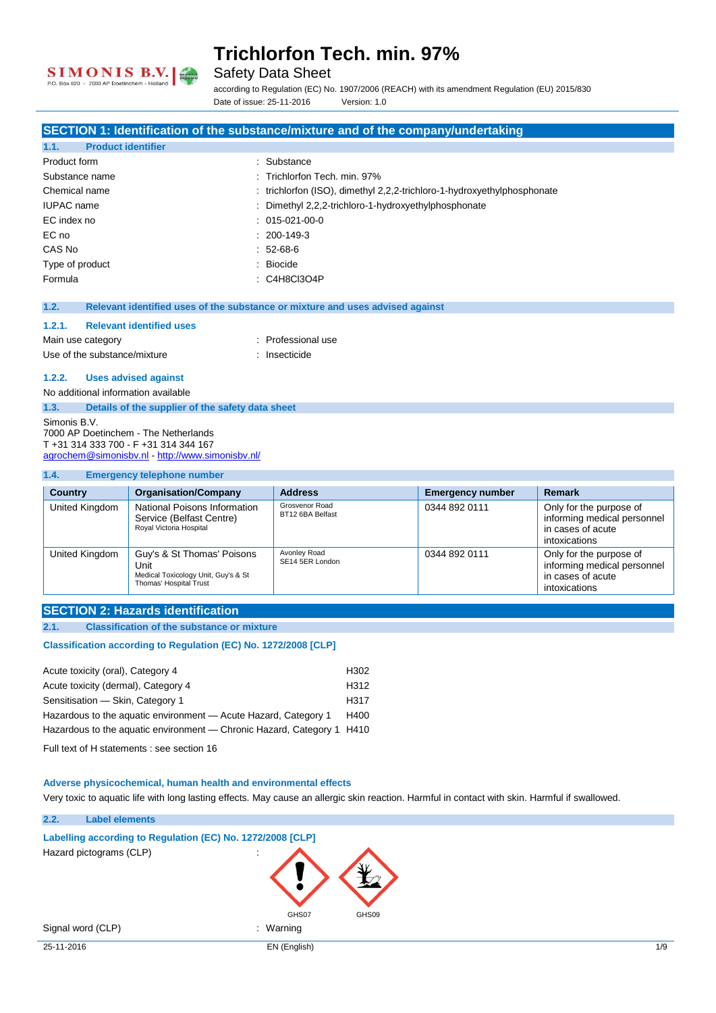

Safety Data Sheet

according to Regulation (EC) No. 1907/2006 (REACH) with its amendment Regulation (EU) 2015/830 Date of issue: 25-11-2016 Version: 1.0

#### **SECTION 1: Identification of the substance/mixture and of the company/undertaking**

| <b>Product identifier</b><br>1.1. |                                                                         |
|-----------------------------------|-------------------------------------------------------------------------|
| Product form                      | : Substance                                                             |
| Substance name                    | : Trichlorfon Tech. min. 97%                                            |
| Chemical name                     | : trichlorfon (ISO), dimethyl 2,2,2-trichloro-1-hydroxyethylphosphonate |
| <b>IUPAC</b> name                 | : Dimethyl 2,2,2-trichloro-1-hydroxyethylphosphonate                    |
| EC index no                       | $: 015-021-00-0$                                                        |
| EC no                             | $: 200-149-3$                                                           |
| CAS No                            | $: 52-68-6$                                                             |
| Type of product                   | : Biocide                                                               |
| Formula                           | $\therefore$ C4H8Cl3O4P                                                 |
|                                   |                                                                         |

#### **1.2. Relevant identified uses of the substance or mixture and uses advised against**

| 1.2.1.            | <b>Relevant identified uses</b> |                    |
|-------------------|---------------------------------|--------------------|
| Main use category |                                 | : Professional use |
|                   | Use of the substance/mixture    | : Insecticide      |

#### **1.2.2. Uses advised against**

No additional information available **1.3. Details of the supplier of the safety data sheet** Simonis B.V. 7000 AP Doetinchem - The Netherlands

T +31 314 333 700 - F +31 314 344 167 [agrochem@simonisbv.nl](mailto:agrochem@simonisbv.nl) - <http://www.simonisbv.nl/>

#### **1.4. Emergency telephone number**

| <b>Country</b> | <b>Organisation/Company</b>                                                                         | <b>Address</b>                     | <b>Emergency number</b> | Remark                                                                                       |
|----------------|-----------------------------------------------------------------------------------------------------|------------------------------------|-------------------------|----------------------------------------------------------------------------------------------|
| United Kingdom | National Poisons Information<br>Service (Belfast Centre)<br>Royal Victoria Hospital                 | Grosvenor Road<br>BT12 6BA Belfast | 0344 892 0111           | Only for the purpose of<br>informing medical personnel<br>in cases of acute<br>intoxications |
| United Kingdom | Guy's & St Thomas' Poisons<br>Unit<br>Medical Toxicology Unit, Guy's & St<br>Thomas' Hospital Trust | Avonley Road<br>SE14 5ER London    | 0344 892 0111           | Only for the purpose of<br>informing medical personnel<br>in cases of acute<br>intoxications |

#### **SECTION 2: Hazards identification**

#### **2.1. Classification of the substance or mixture**

**Classification according to Regulation (EC) No. 1272/2008 [CLP]** 

| Acute toxicity (oral), Category 4                                      | H <sub>302</sub> |
|------------------------------------------------------------------------|------------------|
| Acute toxicity (dermal), Category 4                                    | H312             |
| Sensitisation - Skin, Category 1                                       | H317             |
| Hazardous to the aquatic environment - Acute Hazard, Category 1        | H400             |
| Hazardous to the aquatic environment — Chronic Hazard, Category 1 H410 |                  |
|                                                                        |                  |

Full text of H statements : see section 16

#### **Adverse physicochemical, human health and environmental effects**

Very toxic to aquatic life with long lasting effects. May cause an allergic skin reaction. Harmful in contact with skin. Harmful if swallowed.

| 25-11-2016 |                                                            | EN (English)   | $1/\mathcal{S}$ |
|------------|------------------------------------------------------------|----------------|-----------------|
|            | Signal word (CLP)                                          | : Warning      |                 |
|            |                                                            | GHS07<br>GHS09 |                 |
|            |                                                            |                |                 |
|            | Hazard pictograms (CLP)                                    | $\sim$<br>÷    |                 |
|            |                                                            |                |                 |
|            | Labelling according to Regulation (EC) No. 1272/2008 [CLP] |                |                 |
| 2.2.       | <b>Label elements</b>                                      |                |                 |
|            |                                                            |                |                 |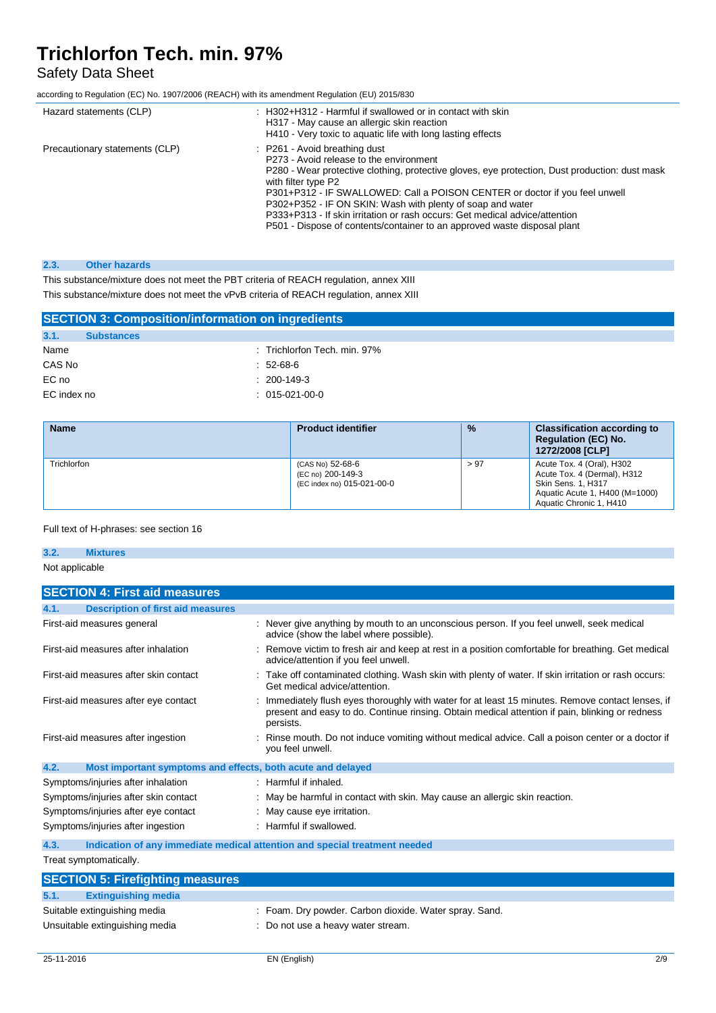## Safety Data Sheet

according to Regulation (EC) No. 1907/2006 (REACH) with its amendment Regulation (EU) 2015/830

| Hazard statements (CLP)        | H302+H312 - Harmful if swallowed or in contact with skin<br>H317 - May cause an allergic skin reaction<br>H410 - Very toxic to aquatic life with long lasting effects                                                                                                                                                                                                                                                                                                                                     |
|--------------------------------|-----------------------------------------------------------------------------------------------------------------------------------------------------------------------------------------------------------------------------------------------------------------------------------------------------------------------------------------------------------------------------------------------------------------------------------------------------------------------------------------------------------|
| Precautionary statements (CLP) | : P261 - Avoid breathing dust<br>P273 - Avoid release to the environment<br>P280 - Wear protective clothing, protective gloves, eye protection, Dust production: dust mask<br>with filter type P2<br>P301+P312 - IF SWALLOWED: Call a POISON CENTER or doctor if you feel unwell<br>P302+P352 - IF ON SKIN: Wash with plenty of soap and water<br>P333+P313 - If skin irritation or rash occurs: Get medical advice/attention<br>P501 - Dispose of contents/container to an approved waste disposal plant |

#### **2.3. Other hazards**

This substance/mixture does not meet the PBT criteria of REACH regulation, annex XIII This substance/mixture does not meet the vPvB criteria of REACH regulation, annex XIII

| <b>SECTION 3: Composition/information on ingredients</b> |                              |  |  |  |
|----------------------------------------------------------|------------------------------|--|--|--|
| 3.1.<br><b>Substances</b>                                |                              |  |  |  |
| Name                                                     | : Trichlorfon Tech. min. 97% |  |  |  |
| CAS No                                                   | $: 52-68-6$                  |  |  |  |
| EC no                                                    | $: 200-149-3$                |  |  |  |
| EC index no                                              | $: 015-021-00-0$             |  |  |  |
|                                                          |                              |  |  |  |

| <b>Name</b>        | <b>Product identifier</b>                                           | $\frac{9}{6}$ | <b>Classification according to</b><br><b>Requlation (EC) No.</b><br>1272/2008 [CLP]                                                                |
|--------------------|---------------------------------------------------------------------|---------------|----------------------------------------------------------------------------------------------------------------------------------------------------|
| <b>Trichlorfon</b> | (CAS No) 52-68-6<br>(EC no) 200-149-3<br>(EC index no) 015-021-00-0 | > 97          | Acute Tox. 4 (Oral), H302<br>Acute Tox. 4 (Dermal), H312<br><b>Skin Sens. 1, H317</b><br>Aquatic Acute 1, H400 (M=1000)<br>Aquatic Chronic 1, H410 |

#### Full text of H-phrases: see section 16

### **3.2. Mixtures**

Not applicable

| <b>SECTION 4: First aid measures</b>                                |                                                                                                                                                                                                                 |
|---------------------------------------------------------------------|-----------------------------------------------------------------------------------------------------------------------------------------------------------------------------------------------------------------|
| <b>Description of first aid measures</b><br>4.1.                    |                                                                                                                                                                                                                 |
| First-aid measures general                                          | Never give anything by mouth to an unconscious person. If you feel unwell, seek medical<br>advice (show the label where possible).                                                                              |
| First-aid measures after inhalation                                 | Remove victim to fresh air and keep at rest in a position comfortable for breathing. Get medical<br>advice/attention if you feel unwell.                                                                        |
| First-aid measures after skin contact                               | Take off contaminated clothing. Wash skin with plenty of water. If skin irritation or rash occurs:<br>Get medical advice/attention.                                                                             |
| First-aid measures after eye contact                                | Immediately flush eyes thoroughly with water for at least 15 minutes. Remove contact lenses, if<br>present and easy to do. Continue rinsing. Obtain medical attention if pain, blinking or redness<br>persists. |
| First-aid measures after ingestion                                  | Rinse mouth. Do not induce vomiting without medical advice. Call a poison center or a doctor if<br>you feel unwell.                                                                                             |
| 4.2.<br>Most important symptoms and effects, both acute and delayed |                                                                                                                                                                                                                 |
| Symptoms/injuries after inhalation                                  | : Harmful if inhaled.                                                                                                                                                                                           |
| Symptoms/injuries after skin contact                                | May be harmful in contact with skin. May cause an allergic skin reaction.                                                                                                                                       |
| Symptoms/injuries after eye contact                                 | May cause eye irritation.                                                                                                                                                                                       |
| Symptoms/injuries after ingestion                                   | : Harmful if swallowed.                                                                                                                                                                                         |
| 4.3.                                                                | Indication of any immediate medical attention and special treatment needed                                                                                                                                      |
| Treat symptomatically.                                              |                                                                                                                                                                                                                 |
| <b>SECTION 5: Firefighting measures</b>                             |                                                                                                                                                                                                                 |
| 5.1.<br><b>Extinguishing media</b>                                  |                                                                                                                                                                                                                 |
| Suitable extinguishing media                                        | : Foam. Dry powder. Carbon dioxide. Water spray. Sand.                                                                                                                                                          |
| Unsuitable extinguishing media                                      | Do not use a heavy water stream.                                                                                                                                                                                |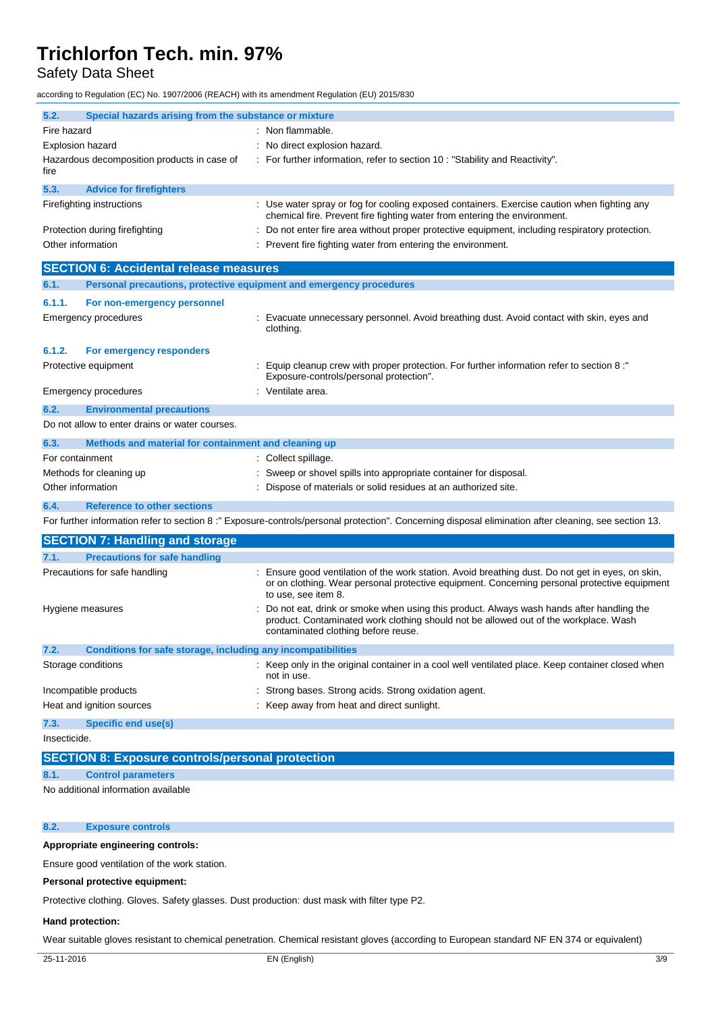Safety Data Sheet

according to Regulation (EC) No. 1907/2006 (REACH) with its amendment Regulation (EU) 2015/830

| 5.2.<br>Special hazards arising from the substance or mixture               |                                                                                                                                                                                                                         |
|-----------------------------------------------------------------------------|-------------------------------------------------------------------------------------------------------------------------------------------------------------------------------------------------------------------------|
| Fire hazard                                                                 | : Non flammable.                                                                                                                                                                                                        |
| <b>Explosion hazard</b>                                                     | No direct explosion hazard.                                                                                                                                                                                             |
| Hazardous decomposition products in case of<br>fire                         | : For further information, refer to section 10 : "Stability and Reactivity".                                                                                                                                            |
| 5.3.<br><b>Advice for firefighters</b>                                      |                                                                                                                                                                                                                         |
| Firefighting instructions                                                   | : Use water spray or fog for cooling exposed containers. Exercise caution when fighting any<br>chemical fire. Prevent fire fighting water from entering the environment.                                                |
| Protection during firefighting                                              | Do not enter fire area without proper protective equipment, including respiratory protection.                                                                                                                           |
| Other information                                                           | Prevent fire fighting water from entering the environment.                                                                                                                                                              |
| <b>SECTION 6: Accidental release measures</b>                               |                                                                                                                                                                                                                         |
| Personal precautions, protective equipment and emergency procedures<br>6.1. |                                                                                                                                                                                                                         |
| 6.1.1.<br>For non-emergency personnel                                       |                                                                                                                                                                                                                         |
| Emergency procedures                                                        | Evacuate unnecessary personnel. Avoid breathing dust. Avoid contact with skin, eyes and<br>clothing.                                                                                                                    |
| 6.1.2.<br>For emergency responders                                          |                                                                                                                                                                                                                         |
| Protective equipment                                                        | Equip cleanup crew with proper protection. For further information refer to section 8 :"<br>Exposure-controls/personal protection".                                                                                     |
| <b>Emergency procedures</b>                                                 | Ventilate area.                                                                                                                                                                                                         |
| 6.2.<br><b>Environmental precautions</b>                                    |                                                                                                                                                                                                                         |
| Do not allow to enter drains or water courses.                              |                                                                                                                                                                                                                         |
| 6.3.<br>Methods and material for containment and cleaning up                |                                                                                                                                                                                                                         |
| For containment                                                             | : Collect spillage.                                                                                                                                                                                                     |
| Methods for cleaning up                                                     | Sweep or shovel spills into appropriate container for disposal.                                                                                                                                                         |
| Other information                                                           | Dispose of materials or solid residues at an authorized site.                                                                                                                                                           |
| 6.4.<br><b>Reference to other sections</b>                                  |                                                                                                                                                                                                                         |
|                                                                             | For further information refer to section 8:" Exposure-controls/personal protection". Concerning disposal elimination after cleaning, see section 13.                                                                    |
| <b>SECTION 7: Handling and storage</b>                                      |                                                                                                                                                                                                                         |
| <b>Precautions for safe handling</b><br>7.1.                                |                                                                                                                                                                                                                         |
| Precautions for safe handling                                               | Ensure good ventilation of the work station. Avoid breathing dust. Do not get in eyes, on skin,<br>or on clothing. Wear personal protective equipment. Concerning personal protective equipment<br>to use, see item 8.  |
| Hygiene measures                                                            | Do not eat, drink or smoke when using this product. Always wash hands after handling the<br>product. Contaminated work clothing should not be allowed out of the workplace. Wash<br>contaminated clothing before reuse. |
| 7.2.<br>Conditions for safe storage, including any incompatibilities        |                                                                                                                                                                                                                         |
| Storage conditions                                                          | Keep only in the original container in a cool well ventilated place. Keep container closed when<br>not in use.                                                                                                          |
| Incompatible products                                                       | Strong bases. Strong acids. Strong oxidation agent.                                                                                                                                                                     |
| Heat and ignition sources                                                   | Keep away from heat and direct sunlight.                                                                                                                                                                                |
| 7.3.<br><b>Specific end use(s)</b>                                          |                                                                                                                                                                                                                         |
| Insecticide.                                                                |                                                                                                                                                                                                                         |
| <b>SECTION 8: Exposure controls/personal protection</b>                     |                                                                                                                                                                                                                         |
| 8.1.<br><b>Control parameters</b>                                           |                                                                                                                                                                                                                         |

No additional information available

#### **8.2. Exposure controls**

#### **Appropriate engineering controls:**

Ensure good ventilation of the work station.

#### **Personal protective equipment:**

Protective clothing. Gloves. Safety glasses. Dust production: dust mask with filter type P2.

#### **Hand protection:**

Wear suitable gloves resistant to chemical penetration. Chemical resistant gloves (according to European standard NF EN 374 or equivalent)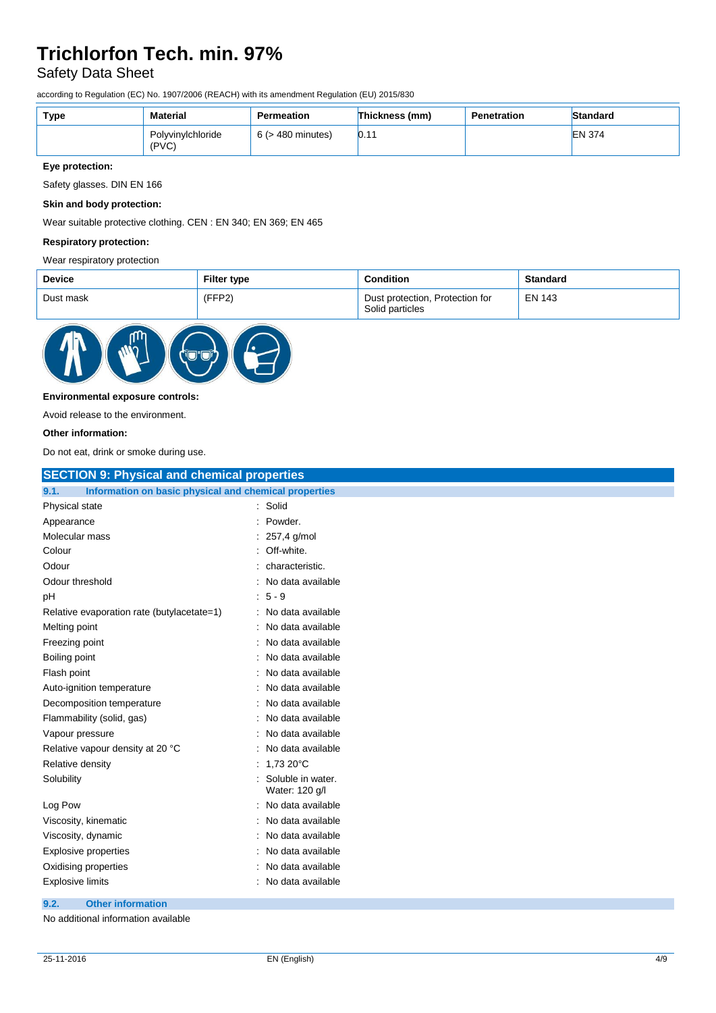### Safety Data Sheet

according to Regulation (EC) No. 1907/2006 (REACH) with its amendment Regulation (EU) 2015/830

| Type | <b>Material</b>            | Permeation             | Thickness (mm)      | Penetration | Standard      |
|------|----------------------------|------------------------|---------------------|-------------|---------------|
|      | Polvvinvlchloride<br>(PVC) | $6$ ( $>$ 480 minutes) | <b>In -</b><br>IU.I |             | <b>EN 374</b> |

**Eye protection:**

Safety glasses. DIN EN 166

#### **Skin and body protection:**

Wear suitable protective clothing. CEN : EN 340; EN 369; EN 465

#### **Respiratory protection:**

#### Wear respiratory protection

| <b>Device</b> | <b>Filter type</b> | <b>Condition</b>                                   | <b>Standard</b> |
|---------------|--------------------|----------------------------------------------------|-----------------|
| Dust mask     | (FFP2)             | Dust protection, Protection for<br>Solid particles | <b>EN 143</b>   |



#### **Environmental exposure controls:**

Avoid release to the environment.

#### **Other information:**

Do not eat, drink or smoke during use.

| <b>SECTION 9: Physical and chemical properties</b>            |                                     |
|---------------------------------------------------------------|-------------------------------------|
| Information on basic physical and chemical properties<br>9.1. |                                     |
| Physical state                                                | Solid                               |
| Appearance                                                    | Powder.                             |
| Molecular mass                                                | 257,4 g/mol                         |
| Colour                                                        | Off-white.                          |
| Odour                                                         | characteristic.                     |
| Odour threshold                                               | No data available                   |
| рH                                                            | $5 - 9$                             |
| Relative evaporation rate (butylacetate=1)                    | No data available                   |
| Melting point                                                 | No data available                   |
| Freezing point                                                | No data available                   |
| Boiling point                                                 | No data available                   |
| Flash point                                                   | No data available                   |
| Auto-ignition temperature                                     | No data available                   |
| Decomposition temperature                                     | No data available                   |
| Flammability (solid, gas)                                     | No data available                   |
| Vapour pressure                                               | No data available                   |
| Relative vapour density at 20 °C                              | No data available                   |
| Relative density                                              | 1,73 20°C                           |
| Solubility                                                    | Soluble in water.<br>Water: 120 g/l |
| Log Pow                                                       | No data available                   |
| Viscosity, kinematic                                          | No data available                   |
| Viscosity, dynamic                                            | No data available                   |
| <b>Explosive properties</b>                                   | No data available                   |
| Oxidising properties                                          | No data available                   |
| <b>Explosive limits</b>                                       | No data available                   |
| 9.2.<br><b>Other information</b>                              |                                     |

### No additional information available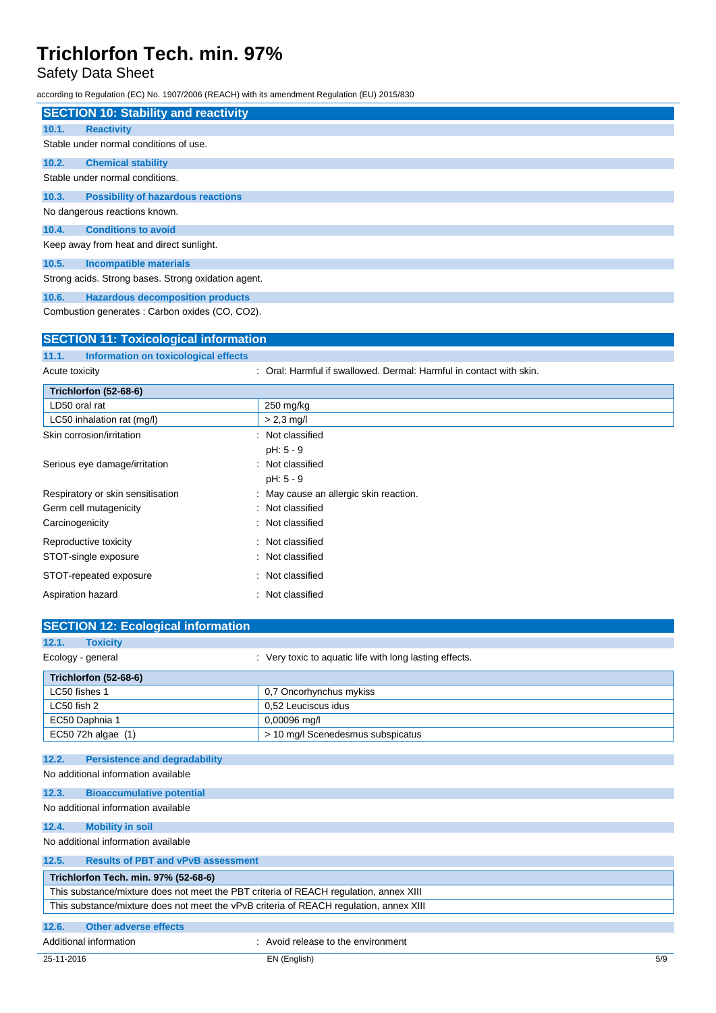### Safety Data Sheet

according to Regulation (EC) No. 1907/2006 (REACH) with its amendment Regulation (EU) 2015/830

|                | <b>SECTION 10: Stability and reactivity</b>         |                                                                   |
|----------------|-----------------------------------------------------|-------------------------------------------------------------------|
| 10.1.          | <b>Reactivity</b>                                   |                                                                   |
|                | Stable under normal conditions of use.              |                                                                   |
| 10.2.          | <b>Chemical stability</b>                           |                                                                   |
|                | Stable under normal conditions.                     |                                                                   |
| 10.3.          | <b>Possibility of hazardous reactions</b>           |                                                                   |
|                | No dangerous reactions known.                       |                                                                   |
| 10.4.          | <b>Conditions to avoid</b>                          |                                                                   |
|                | Keep away from heat and direct sunlight.            |                                                                   |
| 10.5.          | <b>Incompatible materials</b>                       |                                                                   |
|                | Strong acids. Strong bases. Strong oxidation agent. |                                                                   |
| 10.6.          | <b>Hazardous decomposition products</b>             |                                                                   |
|                | Combustion generates: Carbon oxides (CO, CO2).      |                                                                   |
|                | <b>SECTION 11: Toxicological information</b>        |                                                                   |
| 11.1.          | Information on toxicological effects                |                                                                   |
| Acute toxicity |                                                     | Oral: Harmful if swallowed. Dermal: Harmful in contact with skin. |

| Trichlorfon (52-68-6)             |                                        |
|-----------------------------------|----------------------------------------|
| LD50 oral rat                     | 250 mg/kg                              |
| LC50 inhalation rat (mg/l)        | $> 2.3$ mg/l                           |
| Skin corrosion/irritation         | : Not classified                       |
|                                   | $pH: 5 - 9$                            |
| Serious eye damage/irritation     | : Not classified                       |
|                                   | $pH: 5 - 9$                            |
| Respiratory or skin sensitisation | : May cause an allergic skin reaction. |
| Germ cell mutagenicity            | : Not classified                       |
| Carcinogenicity                   | : Not classified                       |
| Reproductive toxicity             | : Not classified                       |
| STOT-single exposure              | : Not classified                       |
| STOT-repeated exposure            | : Not classified                       |
| Aspiration hazard                 | Not classified<br>t.                   |

| <b>SECTION 12: Ecological information</b>          |                                                                                        |     |
|----------------------------------------------------|----------------------------------------------------------------------------------------|-----|
| 12.1.<br><b>Toxicity</b>                           |                                                                                        |     |
| Ecology - general                                  | : Very toxic to aquatic life with long lasting effects.                                |     |
| Trichlorfon (52-68-6)                              |                                                                                        |     |
| LC50 fishes 1                                      | 0,7 Oncorhynchus mykiss                                                                |     |
| LC50 fish 2                                        | 0.52 Leuciscus idus                                                                    |     |
| EC50 Daphnia 1                                     | 0,00096 mg/l                                                                           |     |
| EC50 72h algae (1)                                 | > 10 mg/l Scenedesmus subspicatus                                                      |     |
| 12.2.<br><b>Persistence and degradability</b>      |                                                                                        |     |
| No additional information available                |                                                                                        |     |
| 12.3.<br><b>Bioaccumulative potential</b>          |                                                                                        |     |
| No additional information available                |                                                                                        |     |
| 12.4.<br><b>Mobility in soil</b>                   |                                                                                        |     |
| No additional information available                |                                                                                        |     |
| 12.5.<br><b>Results of PBT and vPvB assessment</b> |                                                                                        |     |
| Trichlorfon Tech. min. 97% (52-68-6)               |                                                                                        |     |
|                                                    | This substance/mixture does not meet the PBT criteria of REACH regulation, annex XIII  |     |
|                                                    | This substance/mixture does not meet the vPvB criteria of REACH regulation, annex XIII |     |
| 12.6.<br><b>Other adverse effects</b>              |                                                                                        |     |
| Additional information                             | : Avoid release to the environment                                                     |     |
| 25-11-2016                                         | EN (English)                                                                           | 5/9 |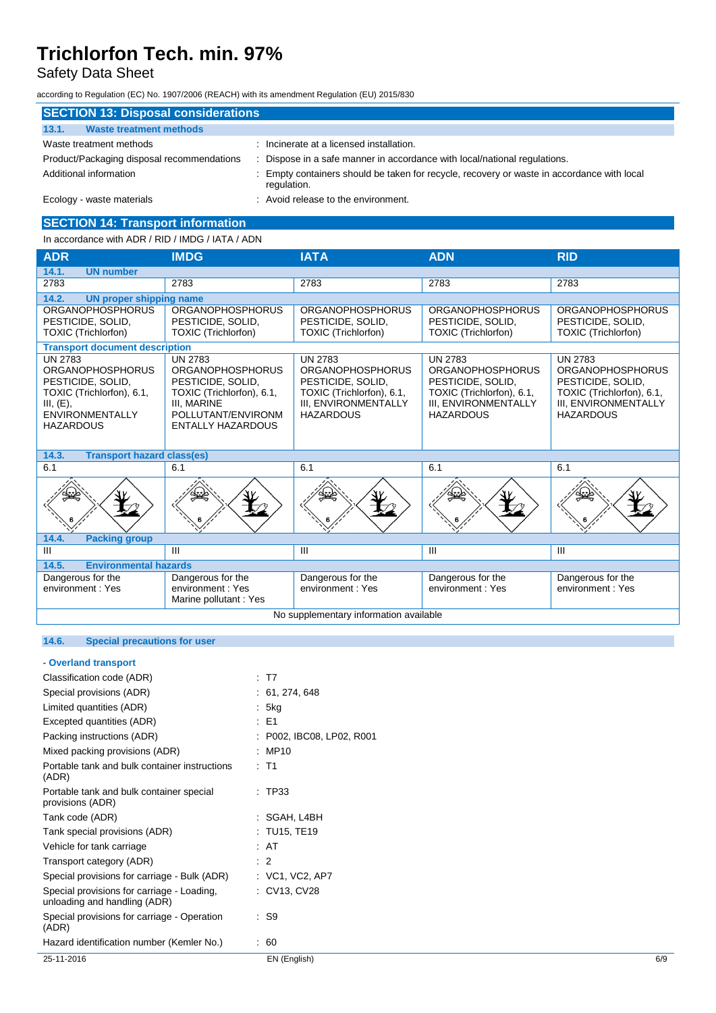### Safety Data Sheet

according to Regulation (EC) No. 1907/2006 (REACH) with its amendment Regulation (EU) 2015/830

| <b>SECTION 13: Disposal considerations</b> |                                                                                                         |  |  |
|--------------------------------------------|---------------------------------------------------------------------------------------------------------|--|--|
| <b>Waste treatment methods</b><br>13.1.    |                                                                                                         |  |  |
| Waste treatment methods                    | Incinerate at a licensed installation.                                                                  |  |  |
| Product/Packaging disposal recommendations | Dispose in a safe manner in accordance with local/national regulations.                                 |  |  |
| Additional information                     | Empty containers should be taken for recycle, recovery or waste in accordance with local<br>regulation. |  |  |
| Ecology - waste materials                  | : Avoid release to the environment.                                                                     |  |  |

### **SECTION 14: Transport information**

In accordance with ADR / RID / IMDG / IATA / ADN

| <b>ADR</b>                                                                                                                                                                                                                                                                                                                    | <b>IMDG</b>                                                                | <b>IATA</b>                                                                                                                             | <b>ADN</b>                                                                                                                              | <b>RID</b>                                                                                                                              |
|-------------------------------------------------------------------------------------------------------------------------------------------------------------------------------------------------------------------------------------------------------------------------------------------------------------------------------|----------------------------------------------------------------------------|-----------------------------------------------------------------------------------------------------------------------------------------|-----------------------------------------------------------------------------------------------------------------------------------------|-----------------------------------------------------------------------------------------------------------------------------------------|
| <b>UN number</b><br>14.1.                                                                                                                                                                                                                                                                                                     |                                                                            |                                                                                                                                         |                                                                                                                                         |                                                                                                                                         |
| 2783                                                                                                                                                                                                                                                                                                                          | 2783                                                                       | 2783                                                                                                                                    | 2783                                                                                                                                    | 2783                                                                                                                                    |
| 14.2.<br><b>UN proper shipping name</b>                                                                                                                                                                                                                                                                                       |                                                                            |                                                                                                                                         |                                                                                                                                         |                                                                                                                                         |
| <b>ORGANOPHOSPHORUS</b><br>PESTICIDE, SOLID,<br><b>TOXIC (Trichlorfon)</b>                                                                                                                                                                                                                                                    | <b>ORGANOPHOSPHORUS</b><br>PESTICIDE, SOLID,<br><b>TOXIC (Trichlorfon)</b> | <b>ORGANOPHOSPHORUS</b><br>PESTICIDE, SOLID,<br><b>TOXIC (Trichlorfon)</b>                                                              | <b>ORGANOPHOSPHORUS</b><br>PESTICIDE, SOLID,<br><b>TOXIC (Trichlorfon)</b>                                                              | <b>ORGANOPHOSPHORUS</b><br>PESTICIDE, SOLID,<br><b>TOXIC (Trichlorfon)</b>                                                              |
| <b>Transport document description</b>                                                                                                                                                                                                                                                                                         |                                                                            |                                                                                                                                         |                                                                                                                                         |                                                                                                                                         |
| <b>UN 2783</b><br><b>UN 2783</b><br><b>ORGANOPHOSPHORUS</b><br><b>ORGANOPHOSPHORUS</b><br>PESTICIDE, SOLID,<br>PESTICIDE, SOLID,<br>TOXIC (Trichlorfon), 6.1,<br>TOXIC (Trichlorfon), 6.1,<br><b>III. MARINE</b><br>III, (E),<br><b>ENVIRONMENTALLY</b><br>POLLUTANT/ENVIRONM<br><b>HAZARDOUS</b><br><b>ENTALLY HAZARDOUS</b> |                                                                            | <b>UN 2783</b><br><b>ORGANOPHOSPHORUS</b><br>PESTICIDE, SOLID,<br>TOXIC (Trichlorfon), 6.1,<br>III, ENVIRONMENTALLY<br><b>HAZARDOUS</b> | <b>UN 2783</b><br><b>ORGANOPHOSPHORUS</b><br>PESTICIDE, SOLID,<br>TOXIC (Trichlorfon), 6.1,<br>III, ENVIRONMENTALLY<br><b>HAZARDOUS</b> | <b>UN 2783</b><br><b>ORGANOPHOSPHORUS</b><br>PESTICIDE, SOLID,<br>TOXIC (Trichlorfon), 6.1,<br>III, ENVIRONMENTALLY<br><b>HAZARDOUS</b> |
| 14.3.<br><b>Transport hazard class(es)</b>                                                                                                                                                                                                                                                                                    |                                                                            |                                                                                                                                         |                                                                                                                                         |                                                                                                                                         |
| 6.1                                                                                                                                                                                                                                                                                                                           | 6.1                                                                        | 6.1                                                                                                                                     | 6.1                                                                                                                                     | 6.1                                                                                                                                     |
|                                                                                                                                                                                                                                                                                                                               |                                                                            |                                                                                                                                         |                                                                                                                                         |                                                                                                                                         |
| 14.4.<br><b>Packing group</b>                                                                                                                                                                                                                                                                                                 |                                                                            |                                                                                                                                         |                                                                                                                                         |                                                                                                                                         |
| Ш                                                                                                                                                                                                                                                                                                                             | $\mathbf{H}$                                                               | Ш                                                                                                                                       | $\mathbf{III}$                                                                                                                          | Ш                                                                                                                                       |
| <b>Environmental hazards</b><br>14.5.                                                                                                                                                                                                                                                                                         |                                                                            |                                                                                                                                         |                                                                                                                                         |                                                                                                                                         |
| Dangerous for the<br>environment: Yes                                                                                                                                                                                                                                                                                         | Dangerous for the<br>environment: Yes<br>Marine pollutant: Yes             | Dangerous for the<br>environment: Yes                                                                                                   | Dangerous for the<br>environment: Yes                                                                                                   | Dangerous for the<br>environment: Yes                                                                                                   |
|                                                                                                                                                                                                                                                                                                                               | No supplementary information available                                     |                                                                                                                                         |                                                                                                                                         |                                                                                                                                         |

### **14.6. Special precautions for user**

|  |  |  | - Overland transport |  |
|--|--|--|----------------------|--|
|--|--|--|----------------------|--|

| 25-11-2016                                                                 | EN (English)              | 6/9 |
|----------------------------------------------------------------------------|---------------------------|-----|
| Hazard identification number (Kemler No.)                                  | : 60                      |     |
| Special provisions for carriage - Operation<br>(ADR)                       | : S9                      |     |
| Special provisions for carriage - Loading,<br>unloading and handling (ADR) | : CV13, CV28              |     |
| Special provisions for carriage - Bulk (ADR)                               | $:$ VC1, VC2, AP7         |     |
| Transport category (ADR)                                                   | $\therefore$ 2            |     |
| Vehicle for tank carriage                                                  | : AT                      |     |
| Tank special provisions (ADR)                                              | : TU15, TE19              |     |
| Tank code (ADR)                                                            | : SGAH, L4BH              |     |
| Portable tank and bulk container special<br>provisions (ADR)               | : TP33                    |     |
| Portable tank and bulk container instructions<br>(ADR)                     | $:$ T1                    |     |
| Mixed packing provisions (ADR)                                             | : MP10                    |     |
| Packing instructions (ADR)                                                 | : P002, IBC08, LP02, R001 |     |
| Excepted quantities (ADR)                                                  | $\therefore$ E1           |     |
| Limited quantities (ADR)                                                   | : 5kg                     |     |
| Special provisions (ADR)                                                   | : 61, 274, 648            |     |
| Classification code (ADR)                                                  | : T7                      |     |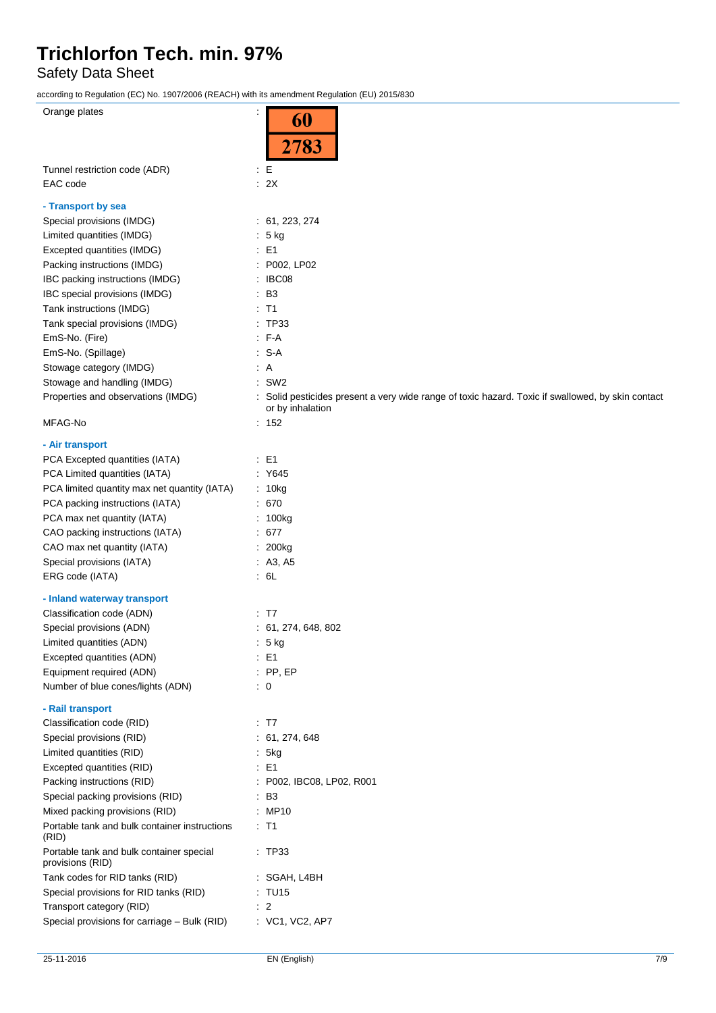Safety Data Sheet

according to Regulation (EC) No. 1907/2006 (REACH) with its amendment Regulation (EU) 2015/830

| Orange plates                                                | 60                                                                                                                    |
|--------------------------------------------------------------|-----------------------------------------------------------------------------------------------------------------------|
|                                                              |                                                                                                                       |
|                                                              | 2783                                                                                                                  |
| Tunnel restriction code (ADR)                                | $\therefore$ E                                                                                                        |
| EAC code                                                     | $\therefore$ 2X                                                                                                       |
| - Transport by sea                                           |                                                                                                                       |
| Special provisions (IMDG)                                    | : 61, 223, 274                                                                                                        |
| Limited quantities (IMDG)                                    | $5$ kg                                                                                                                |
| Excepted quantities (IMDG)                                   | : E1                                                                                                                  |
| Packing instructions (IMDG)                                  | : P002, LP02                                                                                                          |
| IBC packing instructions (IMDG)                              | $\therefore$ IBC08                                                                                                    |
| IBC special provisions (IMDG)                                | $\therefore$ B3                                                                                                       |
| Tank instructions (IMDG)                                     | $\therefore$ T1                                                                                                       |
| Tank special provisions (IMDG)                               | : TP33                                                                                                                |
| EmS-No. (Fire)                                               | : F-A                                                                                                                 |
|                                                              | $: S-A$                                                                                                               |
| EmS-No. (Spillage)                                           |                                                                                                                       |
| Stowage category (IMDG)                                      | $\therefore$ A<br>$:$ SW2                                                                                             |
| Stowage and handling (IMDG)                                  |                                                                                                                       |
| Properties and observations (IMDG)                           | : Solid pesticides present a very wide range of toxic hazard. Toxic if swallowed, by skin contact<br>or by inhalation |
| MFAG-No                                                      | : 152                                                                                                                 |
| - Air transport                                              |                                                                                                                       |
| PCA Excepted quantities (IATA)                               | $\pm$ E1                                                                                                              |
| PCA Limited quantities (IATA)                                | : Y645                                                                                                                |
| PCA limited quantity max net quantity (IATA)                 | : 10kg                                                                                                                |
| PCA packing instructions (IATA)                              | .670                                                                                                                  |
| PCA max net quantity (IATA)                                  | : 100kg                                                                                                               |
| CAO packing instructions (IATA)                              | : 677                                                                                                                 |
| CAO max net quantity (IATA)                                  | : 200kg                                                                                                               |
| Special provisions (IATA)                                    | : $A3, A5$                                                                                                            |
| ERG code (IATA)                                              | : 6L                                                                                                                  |
| - Inland waterway transport                                  |                                                                                                                       |
| Classification code (ADN)                                    | $\therefore$ T7                                                                                                       |
| Special provisions (ADN)                                     | : 61, 274, 648, 802                                                                                                   |
| Limited quantities (ADN)                                     | : 5 kg                                                                                                                |
| Excepted quantities (ADN)                                    | $\therefore$ E1                                                                                                       |
| Equipment required (ADN)                                     | $:$ PP, EP                                                                                                            |
| Number of blue cones/lights (ADN)                            | $\therefore$ 0                                                                                                        |
| - Rail transport                                             |                                                                                                                       |
| Classification code (RID)                                    | $\cdot$ T7                                                                                                            |
| Special provisions (RID)                                     | : 61, 274, 648                                                                                                        |
| Limited quantities (RID)                                     | : 5kg                                                                                                                 |
| Excepted quantities (RID)                                    | $\therefore$ E1                                                                                                       |
| Packing instructions (RID)                                   | : P002, IBC08, LP02, R001                                                                                             |
| Special packing provisions (RID)                             | $\cdot$ B3                                                                                                            |
| Mixed packing provisions (RID)                               | : MP10                                                                                                                |
| Portable tank and bulk container instructions<br>(RID)       | : T1                                                                                                                  |
| Portable tank and bulk container special<br>provisions (RID) | : TP33                                                                                                                |
| Tank codes for RID tanks (RID)                               | : SGAH, L4BH                                                                                                          |
| Special provisions for RID tanks (RID)                       | : TU15                                                                                                                |
| Transport category (RID)                                     | $\therefore$ 2                                                                                                        |
| Special provisions for carriage - Bulk (RID)                 | : VC1, VC2, AP7                                                                                                       |
|                                                              |                                                                                                                       |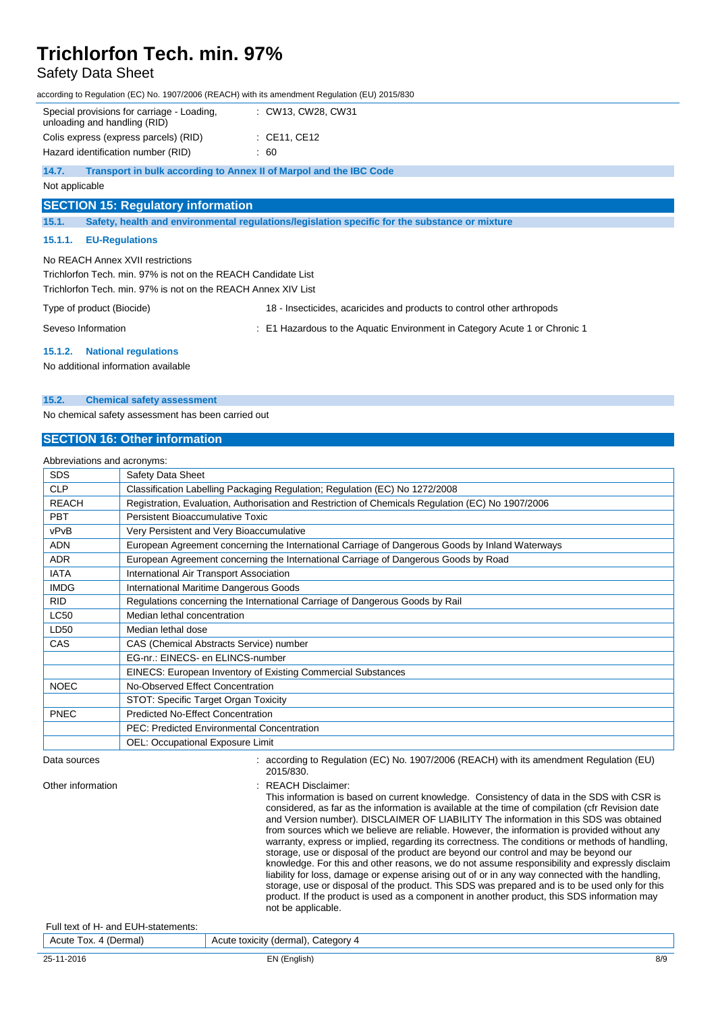### Safety Data Sheet

according to Regulation (EC) No. 1907/2006 (REACH) with its amendment Regulation (EU) 2015/830

|                | Special provisions for carriage - Loading.<br>unloading and handling (RID) |  | : CW13, CW28, CW31                                                                             |
|----------------|----------------------------------------------------------------------------|--|------------------------------------------------------------------------------------------------|
|                | Colis express (express parcels) (RID)                                      |  | $\therefore$ CE11, CE12                                                                        |
|                | Hazard identification number (RID)                                         |  | $\therefore 60$                                                                                |
| 14.7.          | Transport in bulk according to Annex II of Marpol and the IBC Code         |  |                                                                                                |
| Not applicable |                                                                            |  |                                                                                                |
|                | <b>SECTION 15: Regulatory information</b>                                  |  |                                                                                                |
| 15.1.          |                                                                            |  | Safety, health and environmental regulations/legislation specific for the substance or mixture |
| 15.1.1.        | <b>EU-Regulations</b>                                                      |  |                                                                                                |

No REACH Annex XVII restrictions

Trichlorfon Tech. min. 97% is not on the REACH Candidate List Trichlorfon Tech. min. 97% is not on the REACH Annex XIV List

Type of product (Biocide) 18 - Insecticides, acaricides and products to control other arthropods

Seveso Information : E1 Hazardous to the Aquatic Environment in Category Acute 1 or Chronic 1

#### **15.1.2. National regulations**

No additional information available

#### **15.2. Chemical safety assessment**

No chemical safety assessment has been carried out

#### **SECTION 16: Other information**

| Abbreviations and acronyms: |                                                                                                   |  |  |
|-----------------------------|---------------------------------------------------------------------------------------------------|--|--|
| <b>SDS</b>                  | Safety Data Sheet                                                                                 |  |  |
| <b>CLP</b>                  | Classification Labelling Packaging Regulation; Regulation (EC) No 1272/2008                       |  |  |
| <b>REACH</b>                | Registration, Evaluation, Authorisation and Restriction of Chemicals Regulation (EC) No 1907/2006 |  |  |
| <b>PBT</b>                  | Persistent Bioaccumulative Toxic                                                                  |  |  |
| vPvB                        | Very Persistent and Very Bioaccumulative                                                          |  |  |
| <b>ADN</b>                  | European Agreement concerning the International Carriage of Dangerous Goods by Inland Waterways   |  |  |
| <b>ADR</b>                  | European Agreement concerning the International Carriage of Dangerous Goods by Road               |  |  |
| <b>IATA</b>                 | International Air Transport Association                                                           |  |  |
| <b>IMDG</b>                 | International Maritime Dangerous Goods                                                            |  |  |
| <b>RID</b>                  | Regulations concerning the International Carriage of Dangerous Goods by Rail                      |  |  |
| <b>LC50</b>                 | Median lethal concentration                                                                       |  |  |
| LD50                        | Median lethal dose                                                                                |  |  |
| CAS                         | CAS (Chemical Abstracts Service) number                                                           |  |  |
|                             | EG-nr.: EINECS- en ELINCS-number                                                                  |  |  |
|                             | EINECS: European Inventory of Existing Commercial Substances                                      |  |  |
| <b>NOEC</b>                 | No-Observed Effect Concentration                                                                  |  |  |
|                             | STOT: Specific Target Organ Toxicity                                                              |  |  |
| <b>PNEC</b>                 | <b>Predicted No-Effect Concentration</b>                                                          |  |  |
|                             | <b>PEC: Predicted Environmental Concentration</b>                                                 |  |  |
|                             | OEL: Occupational Exposure Limit                                                                  |  |  |
|                             | $- - - - - - - - - - -$                                                                           |  |  |

#### Data sources : according to Regulation (EC) No. 1907/2006 (REACH) with its amendment Regulation (EU) 2015/830.

Other information : REACH Disclaimer:

This information is based on current knowledge. Consistency of data in the SDS with CSR is considered, as far as the information is available at the time of compilation (cfr Revision date and Version number). DISCLAIMER OF LIABILITY The information in this SDS was obtained from sources which we believe are reliable. However, the information is provided without any warranty, express or implied, regarding its correctness. The conditions or methods of handling, storage, use or disposal of the product are beyond our control and may be beyond our knowledge. For this and other reasons, we do not assume responsibility and expressly disclaim liability for loss, damage or expense arising out of or in any way connected with the handling, storage, use or disposal of the product. This SDS was prepared and is to be used only for this product. If the product is used as a component in another product, this SDS information may not be applicable.

Full text of H- and EUH-statements:

25-11-2016 EN (English) 8/9 Acute Tox. 4 (Dermal) Acute toxicity (dermal), Category 4